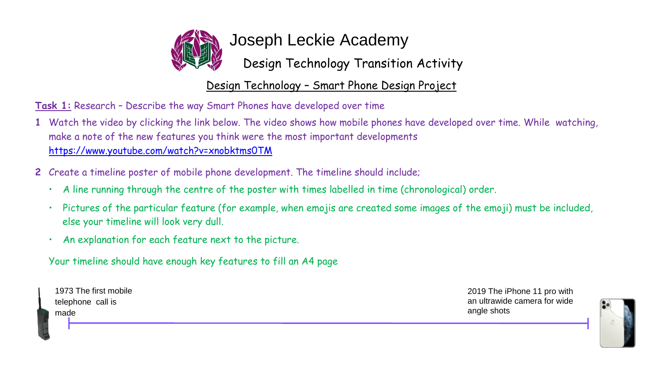

Joseph Leckie Academy

Design Technology Transition Activity

Design Technology – Smart Phone Design Project

**Task 1:** Research – Describe the way Smart Phones have developed over time

- **1** Watch the video by clicking the link below. The video shows how mobile phones have developed over time. While watching, make a note of the new features you think were the most important developments <https://www.youtube.com/watch?v=xnobktms0TM>
- **2** Create a timeline poster of mobile phone development. The timeline should include;
	- A line running through the centre of the poster with times labelled in time (chronological) order.
	- Pictures of the particular feature (for example, when emojis are created some images of the emoji) must be included, else your timeline will look very dull.
	- An explanation for each feature next to the picture.

Your timeline should have enough key features to fill an A4 page

| 1973 The first mobile | 2019 The iPhone 11 pro with  |
|-----------------------|------------------------------|
| telephone call is     | an ultrawide camera for wide |
| made                  | angle shots                  |
|                       |                              |

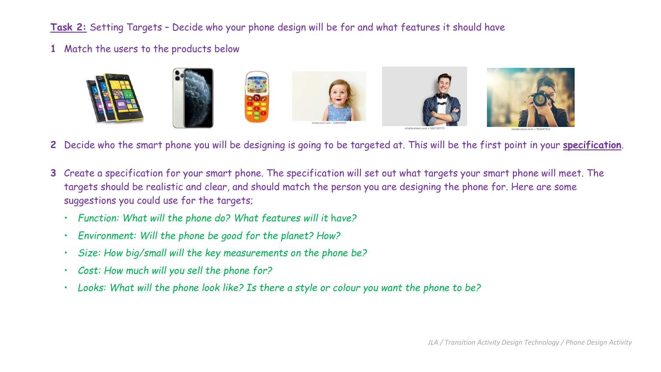**Task 2:** Setting Targets – Decide who your phone design will be for and what features it should have

**1** Match the users to the products below



- **2** Decide who the smart phone you will be designing is going to be targeted at. This will be the first point in your **specification**.
- **3** Create a specification for your smart phone. The specification will set out what targets your smart phone will meet. The targets should be realistic and clear, and should match the person you are designing the phone for. Here are some suggestions you could use for the targets;
	- *Function: What will the phone do? What features will it* h*ave?*
	- *Environment: Will the phone be good for the planet? How?*
	- *Size: How big/small will the key measurements on the phone be?*
	- *Cost: How much will you sell the phone for?*
	- Looks: What will the phone look like? Is there a style or colour you want the phone to be?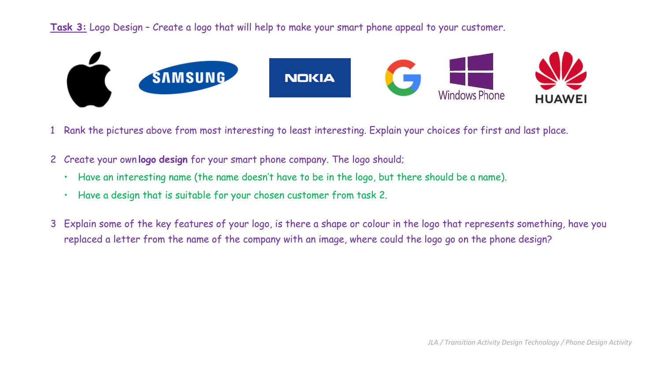**Task 3:** Logo Design – Create a logo that will help to make your smart phone appeal to your customer.



- 1 Rank the pictures above from most interesting to least interesting. Explain your choices for first and last place.
- 2 Create your own **logo design** for your smart phone company. The logo should;
	- Have an interesting name (the name doesn't have to be in the logo, but there should be a name).
	- Have a design that is suitable for your chosen customer from task 2.
- 3 Explain some of the key features of your logo, is there a shape or colour in the logo that represents something, have you replaced a letter from the name of the company with an image, where could the logo go on the phone design?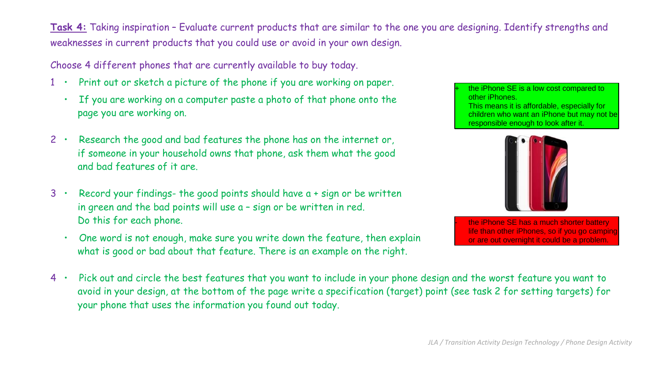**Task 4:** Taking inspiration – Evaluate current products that are similar to the one you are designing. Identify strengths and weaknesses in current products that you could use or avoid in your own design.

Choose 4 different phones that are currently available to buy today.

- 1 Print out or sketch a picture of the phone if you are working on paper.
	- If you are working on a computer paste a photo of that phone onto the page you are working on.
- 2 Research the good and bad features the phone has on the internet or, if someone in your household owns that phone, ask them what the good and bad features of it are.
- 3 Record your findings- the good points should have a + sign or be written in green and the bad points will use a – sign or be written in red. Do this for each phone.
	- One word is not enough, make sure you write down the feature, then explain what is good or bad about that feature. There is an example on the right.

the iPhone SE is a low cost compared to other iPhones. This means it is affordable, especially for children who want an iPhone but may not be responsible enough to look after it.



the iPhone SE has a much shorter battery life than other iPhones, so if you go camping or are out overnight it could be a problem.

4 • Pick out and circle the best features that you want to include in your phone design and the worst feature you want to avoid in your design, at the bottom of the page write a specification (target) point (see task 2 for setting targets) for your phone that uses the information you found out today.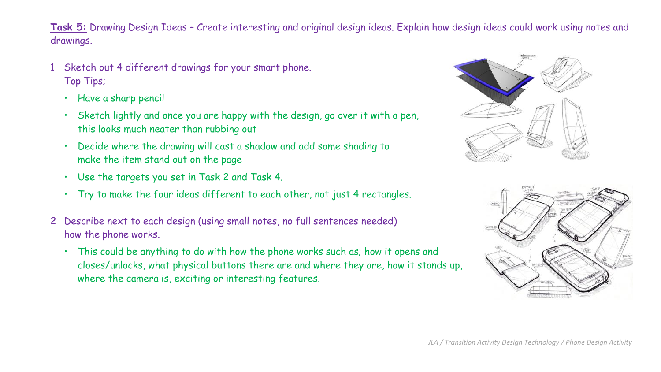**Task 5:** Drawing Design Ideas – Create interesting and original design ideas. Explain how design ideas could work using notes and drawings.

- Sketch out 4 different drawings for your smart phone. Top Tips;
	- Have a sharp pencil
	- Sketch lightly and once you are happy with the design, go over it with a pen, this looks much neater than rubbing out
	- Decide where the drawing will cast a shadow and add some shading to make the item stand out on the page
	- Use the targets you set in Task 2 and Task 4.
	- Try to make the four ideas different to each other, not just 4 rectangles.
- 2 Describe next to each design (using small notes, no full sentences needed) how the phone works.
	- This could be anything to do with how the phone works such as; how it opens and closes/unlocks, what physical buttons there are and where they are, how it stands up, where the camera is, exciting or interesting features.



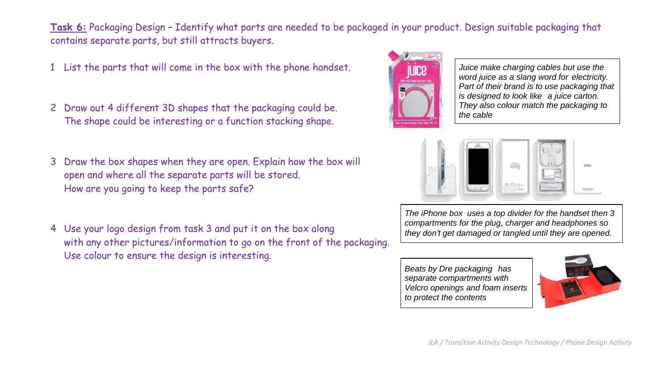**Task 6:** Packaging Design – Identify what parts are needed to be packaged in your product. Design suitable packaging that contains separate parts, but still attracts buyers.

- 1 List the parts that will come in the box with the phone handset.
- 2 Draw out 4 different 3D shapes that the packaging could be. The shape could be interesting or a function stacking shape.
- 3 Draw the box shapes when they are open. Explain how the box will open and where all the separate parts will be stored. How are you going to keep the parts safe?
- 4 Use your logo design from task 3 and put it on the box along with any other pictures/information to go on the front of the packaging. Use colour to ensure the design is interesting.



*Juice make charging cables but use the word juice as a slang word for electricity. Part of their brand is to use packaging that is designed to look like a juice carton. They also colour match the packaging to the cable*



*The iPhone box uses a top divider for the handset then 3 compartments for the plug, charger and headphones so they don't get damaged or tangled until they are opened.*

*Beats by Dre packaging has separate compartments with Velcro openings and foam inserts to protect the contents*

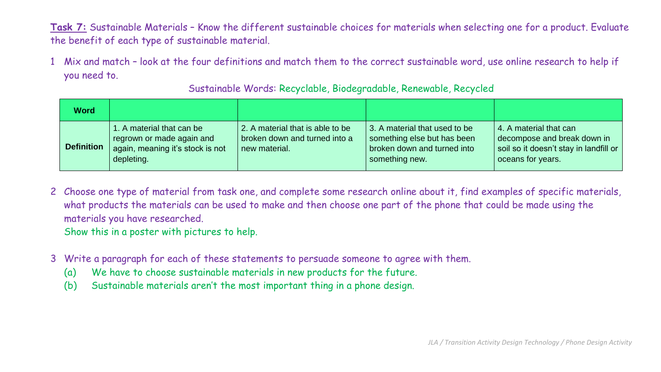**Task 7:** Sustainable Materials – Know the different sustainable choices for materials when selecting one for a product. Evaluate the benefit of each type of sustainable material.

1 Mix and match – look at the four definitions and match them to the correct sustainable word, use online research to help if you need to.

| <b>Word</b>       |                                                                                                          |                                                                                    |                                                                                                               |                                                                                                                               |
|-------------------|----------------------------------------------------------------------------------------------------------|------------------------------------------------------------------------------------|---------------------------------------------------------------------------------------------------------------|-------------------------------------------------------------------------------------------------------------------------------|
| <b>Definition</b> | 1. A material that can be<br>regrown or made again and<br>again, meaning it's stock is not<br>depleting. | 2. A material that is able to be<br>broken down and turned into a<br>new material. | 3. A material that used to be<br>something else but has been<br>broken down and turned into<br>something new. | 4. A material that can<br>decompose and break down in<br>soil so it doesn't stay in landfill or<br><b>l</b> oceans for years. |

Sustainable Words: Recyclable, Biodegradable, Renewable, Recycled

- 2 Choose one type of material from task one, and complete some research online about it, find examples of specific materials, what products the materials can be used to make and then choose one part of the phone that could be made using the materials you have researched. Show this in a poster with pictures to help.
- 3 Write a paragraph for each of these statements to persuade someone to agree with them.
	- (a) We have to choose sustainable materials in new products for the future.
	- (b) Sustainable materials aren't the most important thing in a phone design.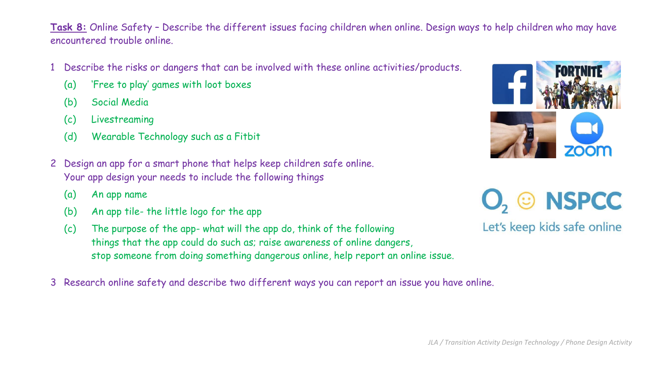**Task 8:** Online Safety – Describe the different issues facing children when online. Design ways to help children who may have encountered trouble online.

- 1 Describe the risks or dangers that can be involved with these online activities/products.
	- (a) 'Free to play' games with loot boxes
	- (b) Social Media
	- (c) Livestreaming
	- (d) Wearable Technology such as a Fitbit
- 2 Design an app for a smart phone that helps keep children safe online. Your app design your needs to include the following things
	- (a) An app name
	- (b) An app tile- the little logo for the app
	- (c) The purpose of the app- what will the app do, think of the following things that the app could do such as; raise awareness of online dangers, stop someone from doing something dangerous online, help report an online issue.
- 3 Research online safety and describe two different ways you can report an issue you have online.



© NSPCC

Let's keep kids safe online